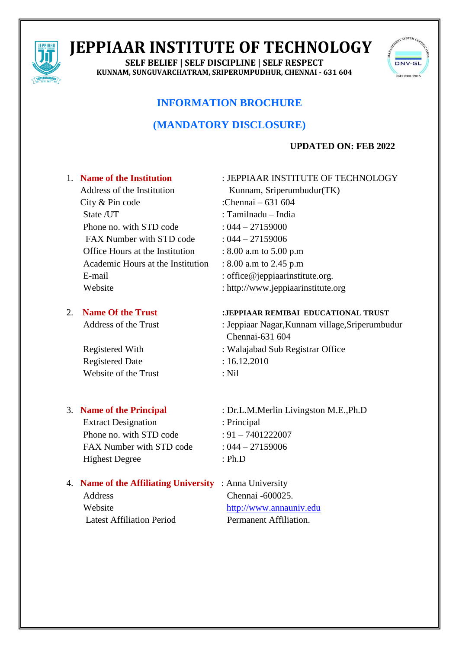

# **JEPPIAAR INSTITUTE OF TECHNOLOGY**

**SELF BELIEF | SELF DISCIPLINE | SELF RESPECT KUNNAM, SUNGUVARCHATRAM, SRIPERUMPUDHUR, CHENNAI - 631 604**



# **INFORMATION BROCHURE**

# **(MANDATORY DISCLOSURE)**

# **UPDATED ON: FEB 2022**

# 1. **Name of the Institution** : JEPPIAAR INSTITUTE OF TECHNOLOGY Address of the Institution Kunnam, Sriperumbudur(TK) City & Pin code :Chennai – 631 604 State /UT : Tamilnadu – India Phone no. with STD code  $: 044 - 27159000$ FAX Number with STD code  $: 044 - 27159006$ Office Hours at the Institution : 8.00 a.m to 5.00 p.m Academic Hours at the Institution : 8.00 a.m to 2.45 p.m E-mail : office@jeppiaarinstitute.org. Website : http://www.jeppiaarinstitute.org

Chennai-631 604

# 2. **Name Of the Trust :JEPPIAAR REMIBAI EDUCATIONAL TRUST**

Address of the Trust : Jeppiaar Nagar, Kunnam village, Sriperumbudur

# Registered With : Walajabad Sub Registrar Office Registered Date : 16.12.2010 Website of the Trust : Nil

Extract Designation : Principal Phone no. with STD code  $: 91 - 7401222007$ FAX Number with STD code  $: 044 - 27159006$ Highest Degree : Ph.D

# 3. **Name of the Principal** : Dr.L.M.Merlin Livingston M.E.,Ph.D

# 4. **Name of the Affiliating University** : Anna University Address Chennai -600025. Website [http://www.annauniv.edu](http://www.annauniv.edu/) Latest Affiliation Period Permanent Affiliation.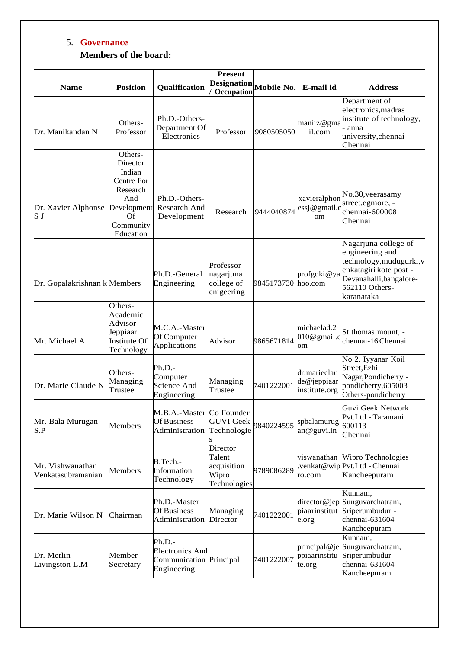# 5. **Governance Members of the board:**

| <b>Name</b>                            | <b>Position</b>                                                                                               | Qualification                                                              | <b>Present</b><br><b>Designation</b><br>Occupation         | <b>Mobile No.</b> | E-mail id                                     | <b>Address</b>                                                                                                                                           |
|----------------------------------------|---------------------------------------------------------------------------------------------------------------|----------------------------------------------------------------------------|------------------------------------------------------------|-------------------|-----------------------------------------------|----------------------------------------------------------------------------------------------------------------------------------------------------------|
| Dr. Manikandan N                       | Others-<br>Professor                                                                                          | Ph.D.-Others-<br>Department Of<br>Electronics                              | Professor                                                  | 9080505050        | maniiz@gma<br>il.com                          | Department of<br>electronics, madras<br>institute of technology,<br>anna<br>university, chennai<br>Chennai                                               |
| Dr. Xavier Alphonse<br>S J             | Others-<br>Director<br>Indian<br>Centre For<br>Research<br>And<br>Development<br>Of<br>Community<br>Education | Ph.D.-Others-<br>Research And<br>Development                               | Research                                                   | 9444040874        | xavieralphon<br>essj@gmail.c<br><sub>om</sub> | No, 30, veerasamy<br>street, egmore, -<br>chennai-600008<br>Chennai                                                                                      |
| Dr. Gopalakrishnan k Members           |                                                                                                               | Ph.D.-General<br>Engineering                                               | Professor<br>nagarjuna<br>college of<br>enigeering         | 9845173730        | profgoki@ya<br>hoo.com                        | Nagarjuna college of<br>engineering and<br>technology, mudugurki, v<br>enkatagiri kote post -<br>Devanahalli, bangalore-<br>562110 Others-<br>karanataka |
| Mr. Michael A                          | Others-<br>Academic<br>Advisor<br>Jeppiaar<br>Institute Of<br>Technology                                      | M.C.A.-Master<br>Of Computer<br>Applications                               | Advisor                                                    | 9865671814        | michaelad.2<br>$010@$ gmail.c<br>om           | St thomas mount, -<br>chennai-16 Chennai                                                                                                                 |
| Dr. Marie Claude N                     | Others-<br>Managing<br>Trustee                                                                                | Ph.D.-<br>Computer<br>Science And<br>Engineering                           | Managing<br>Trustee                                        | 7401222001        | dr.marieclau<br>de@jeppiaar<br>institute.org  | No 2, Iyyanar Koil<br>Street, Ezhil<br>Nagar, Pondicherry -<br>pondicherry, 605003<br>Others-pondicherry                                                 |
| Mr. Bala Murugan<br>S.P                | Members                                                                                                       | M.B.A.-Master Co Founder<br>Of Business<br>Administration                  | GUVI Geek 9840224595<br>Technologie                        |                   | spbalamurug<br>an@guvi.in                     | Guvi Geek Network<br>Pvt.Ltd - Taramani<br>600113<br>Chennai                                                                                             |
| Mr. Vishwanathan<br>Venkatasubramanian | Members                                                                                                       | B.Tech.-<br>Information<br>Technology                                      | Director<br>Talent<br>acquisition<br>Wipro<br>Technologies | 9789086289        | viswanathan<br>ro.com                         | Wipro Technologies<br>venkat@wip Pvt.Ltd - Chennai<br>Kancheepuram                                                                                       |
| Dr. Marie Wilson N                     | Chairman                                                                                                      | Ph.D.-Master<br>Of Business<br>Administration                              | Managing<br>Director                                       | 7401222001        | director@jep<br>piaarinstitut<br>e.org        | Kunnam,<br>Sunguvarchatram,<br>Sriperumbudur -<br>chennai-631604<br>Kancheepuram                                                                         |
| Dr. Merlin<br>Livingston L.M           | Member<br>Secretary                                                                                           | Ph.D.-<br><b>Electronics And</b><br>Communication Principal<br>Engineering |                                                            | 7401222007        | principal@je<br>ppiaarinstitu<br>te.org       | Kunnam,<br>Sunguvarchatram,<br>Sriperumbudur -<br>chennai-631604<br>Kancheepuram                                                                         |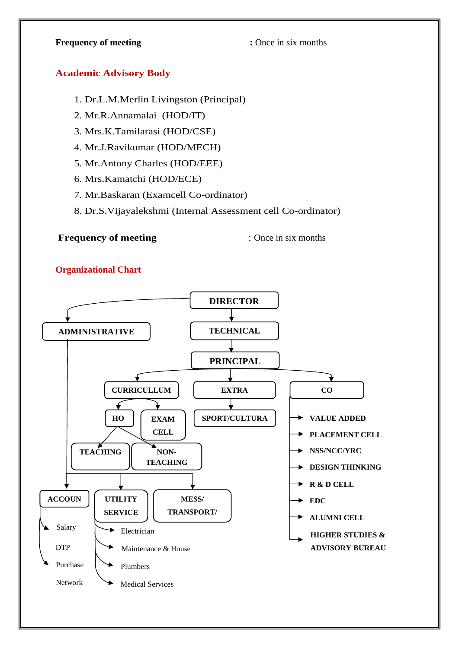# **Frequency of meeting :** Once in six months

#### **Academic Advisory Body**

- 1. Dr.L.M.Merlin Livingston (Principal)
- 2. Mr.R.Annamalai (HOD/IT)
- 3. Mrs.K.Tamilarasi (HOD/CSE)
- 4. Mr.J.Ravikumar (HOD/MECH)
- 5. Mr.Antony Charles (HOD/EEE)
- 6. Mrs.Kamatchi (HOD/ECE)
- 7. Mr.Baskaran (Examcell Co-ordinator)
- 8. Dr.S.Vijayalekshmi (Internal Assessment cell Co-ordinator)

# **Frequency of meeting** : Once in six months

# **Organizational Chart**

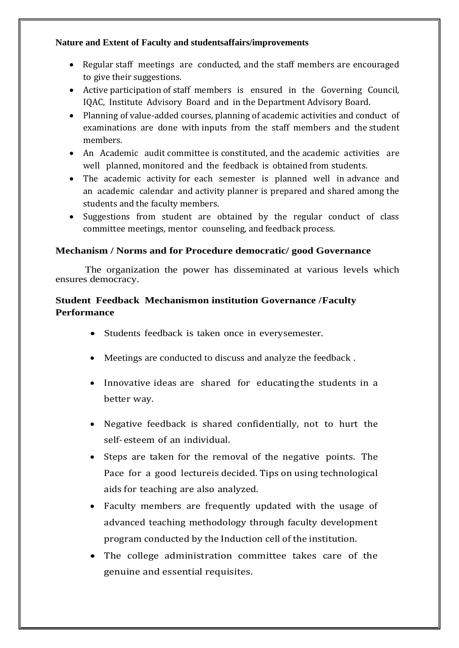# **Nature and Extent of Faculty and studentsaffairs/improvements**

- Regular staff meetings are conducted, and the staff members are encouraged to give their suggestions.
- Active participation of staff members is ensured in the Governing Council, IQAC, Institute Advisory Board and in the Department Advisory Board.
- Planning of value-added courses, planning of academic activities and conduct of examinations are done with inputs from the staff members and the student members.
- An Academic audit committee is constituted, and the academic activities are well planned, monitored and the feedback is obtained from students.
- The academic activity for each semester is planned well in advance and an academic calendar and activity planner is prepared and shared among the students and the faculty members.
- Suggestions from student are obtained by the regular conduct of class committee meetings, mentor counseling, and feedback process.

# **Mechanism / Norms and for Procedure democratic/ good Governance**

The organization the power has disseminated at various levels which ensures democracy.

# **Student Feedback Mechanismon institution Governance /Faculty Performance**

- Students feedback is taken once in everysemester.
- Meetings are conducted to discuss and analyze the feedback .
- Innovative ideas are shared for educating the students in a better way.
- Negative feedback is shared confidentially, not to hurt the self-esteem of an individual.
- Steps are taken for the removal of the negative points. The Pace for a good lectureis decided. Tips on using technological aids for teaching are also analyzed.
- Faculty members are frequently updated with the usage of advanced teaching methodology through faculty development program conducted by the Induction cell of the institution.
- The college administration committee takes care of the genuine and essential requisites.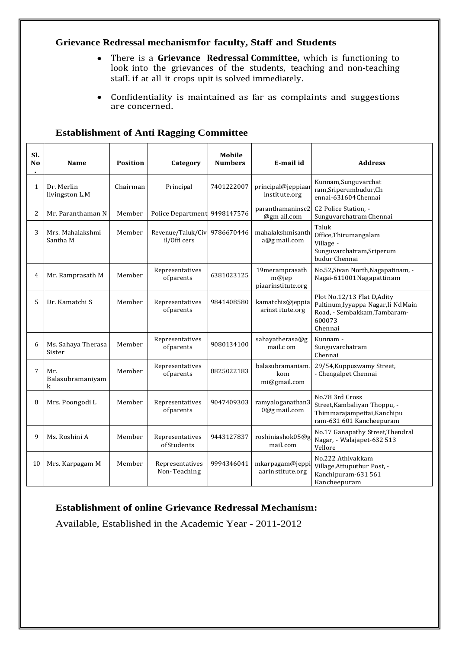# **Grievance Redressal mechanismfor faculty, Staff and Students**

- There is a **Grievance Redressal Committee,** which is functioning to look into the grievances of the students, teaching and non-teaching staff. if at all it crops upit is solved immediately.
- Confidentiality is maintained as far as complaints and suggestions are concerned.

| SI.<br>N <sub>o</sub> | <b>Name</b>                  | <b>Position</b> | Category                          | Mobile<br><b>Numbers</b> | E-mail id                                        | <b>Address</b>                                                                                                         |
|-----------------------|------------------------------|-----------------|-----------------------------------|--------------------------|--------------------------------------------------|------------------------------------------------------------------------------------------------------------------------|
| 1                     | Dr. Merlin<br>livingston L.M | Chairman        | Principal                         | 7401222007               | principal@jeppiaaı<br>institute.org              | Kunnam, Sunguvarchat<br>ram,Sriperumbudur,Ch<br>ennai-631604 Chennai                                                   |
| 2                     | Mr. Paranthaman N            | Member          | Police Department 9498147576      |                          | paranthamaninsc2<br>@gm ail.com                  | C2 Police Station, -<br>Sunguvarchatram Chennai                                                                        |
| 3                     | Mrs. Mahalakshmi<br>Santha M | Member          | Revenue/Taluk/Civ<br>il/Offi cers | 9786670446               | mahalakshmisanth<br>a@g mail.com                 | Taluk<br>Office, Thirumangalam<br>Village -<br>Sunguvarchatram, Sriperum<br>budur Chennai                              |
| 4                     | Mr. Ramprasath M             | Member          | Representatives<br>ofparents      | 6381023125               | 19meramprasath<br>$m@$ iep<br>piaarinstitute.org | No.52, Sivan North, Nagapatinam, -<br>Nagai-611001 Nagapattinam                                                        |
| 5                     | Dr. Kamatchi S               | Member          | Representatives<br>ofparents      | 9841408580               | kamatchis@jeppia<br>arinst itute.org             | Plot No.12/13 Flat D,Adity<br>Paltinum, Iyyappa Nagar, Ii Nd Main<br>Road, - Sembakkam, Tambaram-<br>600073<br>Chennai |
| 6                     | Ms. Sahaya Therasa<br>Sister | Member          | Representatives<br>ofparents      | 9080134100               | sahayatherasa@g<br>mail.c om                     | Kunnam -<br>Sunguvarchatram<br>Chennai                                                                                 |
| $\overline{7}$        | Mr.<br>Balasubramaniyam<br>k | Member          | Representatives<br>ofparents      | 8825022183               | balasubramaniam<br>kom<br>mi@gmail.com           | 29/54, Kuppuswamy Street,<br>- Chengalpet Chennai                                                                      |
| 8                     | Mrs. Poongodi L              | Member          | Representatives<br>ofparents      | 9047409303               | ramyaloganathan3<br>0@g mail.com                 | No.78 3rd Cross<br>Street, Kambaliyan Thoppu, -<br>Thimmarajampettai, Kanchipu<br>ram-631 601 Kancheepuram             |
| 9                     | Ms. Roshini A                | Member          | Representatives<br>ofStudents     | 9443127837               | roshiniashok05@g<br>mail.com                     | No.17 Ganapathy Street, Thendral<br>Nagar, - Walajapet-632 513<br>Vellore                                              |
| 10                    | Mrs. Karpagam M              | Member          | Representatives<br>Non-Teaching   | 9994346041               | mkarpagam@jeppi<br>aarin stitute.org             | No.222 Athivakkam<br>Village, Attuputhur Post, -<br>Kanchipuram-631 561<br>Kancheepuram                                |

# **Establishment of Anti Ragging Committee**

# **Establishment of online Grievance Redressal Mechanism:**

Available, Established in the Academic Year - 2011-2012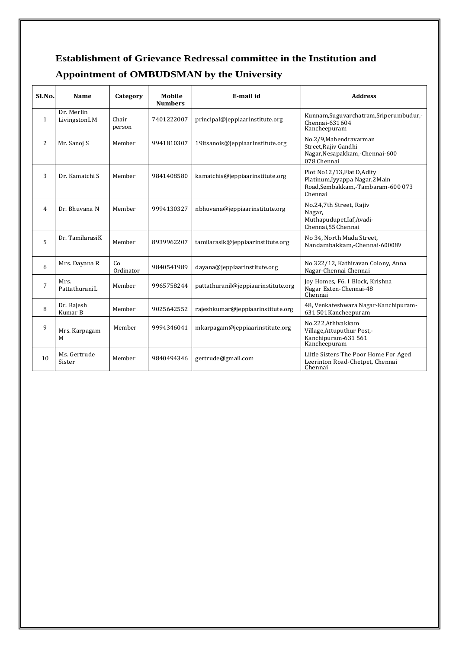# **Establishment of Grievance Redressal committee in the Institution and Appointment of OMBUDSMAN by the University**

| Sl.No.         | Name                       | Category        | Mobile<br><b>Numbers</b> | E-mail id                           | <b>Address</b>                                                                                                |
|----------------|----------------------------|-----------------|--------------------------|-------------------------------------|---------------------------------------------------------------------------------------------------------------|
| $\mathbf{1}$   | Dr. Merlin<br>LivingstonLM | Chair<br>person | 7401222007               | principal@jeppiaarinstitute.org     | Kunnam, Suguvarchatram, Sriperumbudur,-<br>Chennai-631604<br>Kancheepuram                                     |
| 2              | Mr. Sanoj S                | Member          | 9941810307               | 19itsanois@jeppiaarinstitute.org    | No.2/9, Mahendravarman<br>Street, Rajiv Gandhi<br>Nagar, Nesapakkam, - Chennai-600<br>078 Chennai             |
| 3              | Dr. Kamatchi S             | Member          | 9841408580               | kamatchis@jeppiaarinstitute.org     | Plot No12/13, Flat D, Adity<br>Platinum, Iyyappa Nagar, 2 Main<br>Road,Sembakkam,-Tambaram-600 073<br>Chennai |
| $\overline{4}$ | Dr. Bhuvana N              | Member          | 9994130327               | nbhuvana@jeppiaarinstitute.org      | No.24,7th Street, Rajiv<br>Nagar,<br>Muthapudupet, Iaf, Avadi-<br>Chennai, 55 Chennai                         |
| 5              | Dr. Tamilarasi K           | Member          | 8939962207               | tamilarasik@jeppiaarinstitute.org   | No 34, North Mada Street,<br>Nandambakkam,-Chennai-600089                                                     |
| 6              | Mrs. Dayana R              | Co<br>Ordinator | 9840541989               | dayana@jeppiaarinstitute.org        | No 322/12, Kathiravan Colony, Anna<br>Nagar-Chennai Chennai                                                   |
| 7              | Mrs.<br>PattathuraniL      | Member          | 9965758244               | pattathuranil@jeppiaarinstitute.org | Joy Homes, F6, I Block, Krishna<br>Nagar Exten-Chennai-48<br>Chennai                                          |
| 8              | Dr. Rajesh<br>Kumar B      | Member          | 9025642552               | rajeshkumar@jeppiaarinstitute.org   | 48, Venkateshwara Nagar-Kanchipuram-<br>631 501 Kancheepuram                                                  |
| 9              | Mrs. Karpagam<br>М         | Member          | 9994346041               | mkarpagam@jeppiaarinstitute.org     | No.222, Athivakkam<br>Village, Attuputhur Post,-<br>Kanchipuram-631 561<br>Kancheepuram                       |
| 10             | Ms. Gertrude<br>Sister     | Member          | 9840494346               | gertrude@gmail.com                  | Liitle Sisters The Poor Home For Aged<br>Leerinton Road-Chetpet, Chennai<br>Chennai                           |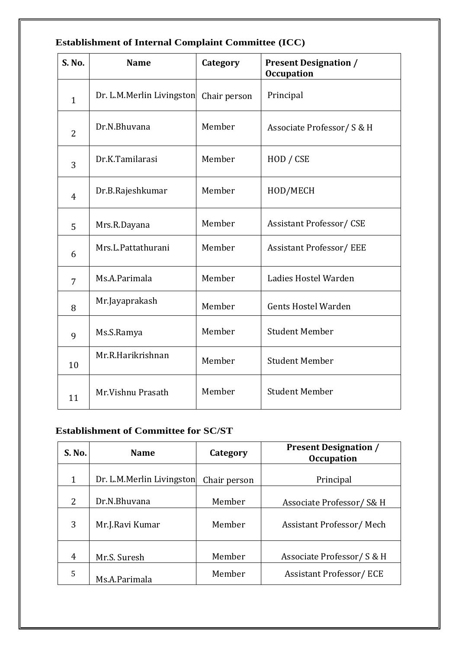| <b>S. No.</b>  | <b>Name</b>               | Category     | <b>Present Designation /</b><br><b>Occupation</b> |
|----------------|---------------------------|--------------|---------------------------------------------------|
| $\mathbf{1}$   | Dr. L.M.Merlin Livingston | Chair person | Principal                                         |
| $\overline{2}$ | Dr.N.Bhuvana              | Member       | Associate Professor/ S & H                        |
| 3              | Dr.K.Tamilarasi           | Member       | HOD / CSE                                         |
| $\overline{4}$ | Dr.B.Rajeshkumar          | Member       | HOD/MECH                                          |
| 5              | Mrs.R.Dayana              | Member       | <b>Assistant Professor/CSE</b>                    |
| 6              | Mrs.L.Pattathurani        | Member       | <b>Assistant Professor/EEE</b>                    |
| 7              | Ms.A.Parimala             | Member       | Ladies Hostel Warden                              |
| 8              | Mr.Jayaprakash            | Member       | <b>Gents Hostel Warden</b>                        |
| 9              | Ms.S.Ramya                | Member       | <b>Student Member</b>                             |
| 10             | Mr.R.Harikrishnan         | Member       | <b>Student Member</b>                             |
| 11             | Mr.Vishnu Prasath         | Member       | <b>Student Member</b>                             |

# **Establishment of Internal Complaint Committee (ICC)**

# **Establishment of Committee for SC/ST**

| S. No. | <b>Name</b>               | Category     | <b>Present Designation /</b><br><b>Occupation</b> |
|--------|---------------------------|--------------|---------------------------------------------------|
| 1      | Dr. L.M.Merlin Livingston | Chair person | Principal                                         |
| 2      | Dr.N.Bhuvana              | Member       | Associate Professor/ S& H                         |
| 3      | Mr.J.Ravi Kumar           | Member       | Assistant Professor/Mech                          |
| 4      | Mr.S. Suresh              | Member       | Associate Professor/ S & H                        |
| 5      | Ms.A.Parimala             | Member       | <b>Assistant Professor/ECE</b>                    |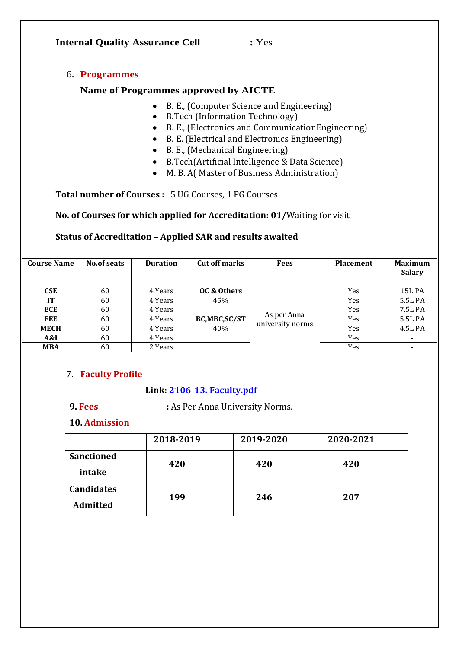#### **Internal Quality Assurance Cell :** Yes

#### 6. **Programmes**

#### **Name of Programmes approved by AICTE**

- B. E., (Computer Science and Engineering)
- B.Tech (Information Technology)
- B. E., (Electronics and CommunicationEngineering)
- B. E. (Electrical and Electronics Engineering)
- B. E., (Mechanical Engineering)
- B.Tech(Artificial Intelligence & Data Science)
- M. B. A( Master of Business Administration)

**Total number of Courses :** 5 UG Courses, 1 PG Courses

**No. of Courses for which applied for Accreditation: 01/**Waiting for visit

# **Status of Accreditation – Applied SAR and results awaited**

| <b>Course Name</b> | No.of seats | <b>Duration</b> | <b>Cut off marks</b> | <b>Fees</b>                     | <b>Placement</b> | <b>Maximum</b><br><b>Salary</b> |
|--------------------|-------------|-----------------|----------------------|---------------------------------|------------------|---------------------------------|
| <b>CSE</b>         | 60          | 4 Years         | OC & Others          |                                 | Yes              | <b>15L PA</b>                   |
| IТ                 | 60          | 4 Years         | 45%                  |                                 | Yes              | 5.5L PA                         |
| <b>ECE</b>         | 60          | 4 Years         |                      |                                 | Yes              | 7.5L PA                         |
| <b>EEE</b>         | 60          | 4 Years         | BC,MBC,SC/ST         | As per Anna<br>university norms | Yes              | 5.5L PA                         |
| <b>MECH</b>        | 60          | 4 Years         | 40%                  |                                 | Yes              | 4.5L PA                         |
| A&I                | 60          | 4 Years         |                      |                                 | Yes              |                                 |
| <b>MBA</b>         | 60          | 2 Years         |                      |                                 | Yes              |                                 |

#### 7. **Faculty Profile**

#### **Link: [2106\\_13. Faculty.pdf](2106_13.%20Faculty.pdf)**

**9. Fees :** As Per Anna University Norms.

#### **10. Admission**

|                   | 2018-2019 | 2019-2020 | 2020-2021 |
|-------------------|-----------|-----------|-----------|
| <b>Sanctioned</b> | 420       | 420       | 420       |
| intake            |           |           |           |
| <b>Candidates</b> | 199       | 246       | 207       |
| <b>Admitted</b>   |           |           |           |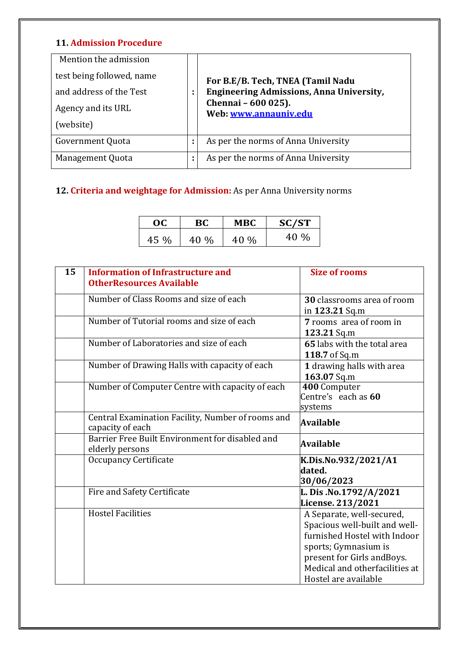# **11. Admission Procedure**

| Mention the admission     |        |                                                 |
|---------------------------|--------|-------------------------------------------------|
| test being followed, name |        | For B.E/B. Tech, TNEA (Tamil Nadu               |
| and address of the Test   | ٠<br>٠ | <b>Engineering Admissions, Anna University,</b> |
| Agency and its URL        |        | Chennai - 600 025).<br>Web www.annauniv.edu     |
| (website)                 |        |                                                 |
| Government Quota          | ÷      | As per the norms of Anna University             |
| Management Quota          | ٠<br>٠ | As per the norms of Anna University             |

# **12. Criteria and weightage for Admission:** As per Anna University norms

| OC   | BС   | <b>MBC</b> | SC/ST |
|------|------|------------|-------|
| 45 % | 40 % | 40 %       | 40 %  |

| 15 | <b>Information of Infrastructure and</b><br><b>OtherResources Available</b> | <b>Size of rooms</b>                                                                                                                                                                                        |
|----|-----------------------------------------------------------------------------|-------------------------------------------------------------------------------------------------------------------------------------------------------------------------------------------------------------|
|    | Number of Class Rooms and size of each                                      | 30 classrooms area of room<br>in 123.21 Sq.m                                                                                                                                                                |
|    | Number of Tutorial rooms and size of each                                   | 7 rooms area of room in<br>123.21 Sq.m                                                                                                                                                                      |
|    | Number of Laboratories and size of each                                     | 65 labs with the total area<br>118.7 of Sq.m                                                                                                                                                                |
|    | Number of Drawing Halls with capacity of each                               | 1 drawing halls with area<br>163.07 Sq.m                                                                                                                                                                    |
|    | Number of Computer Centre with capacity of each                             | 400 Computer<br>Centre's each as 60<br>systems                                                                                                                                                              |
|    | Central Examination Facility, Number of rooms and<br>capacity of each       | <b>Available</b>                                                                                                                                                                                            |
|    | Barrier Free Built Environment for disabled and<br>elderly persons          | Available                                                                                                                                                                                                   |
|    | <b>Occupancy Certificate</b>                                                | K.Dis.No.932/2021/A1<br>dated.<br>30/06/2023                                                                                                                                                                |
|    | Fire and Safety Certificate                                                 | L. Dis .No.1792/A/2021<br>License. 213/2021                                                                                                                                                                 |
|    | <b>Hostel Facilities</b>                                                    | A Separate, well-secured,<br>Spacious well-built and well-<br>furnished Hostel with Indoor<br>sports; Gymnasium is<br>present for Girls and Boys.<br>Medical and otherfacilities at<br>Hostel are available |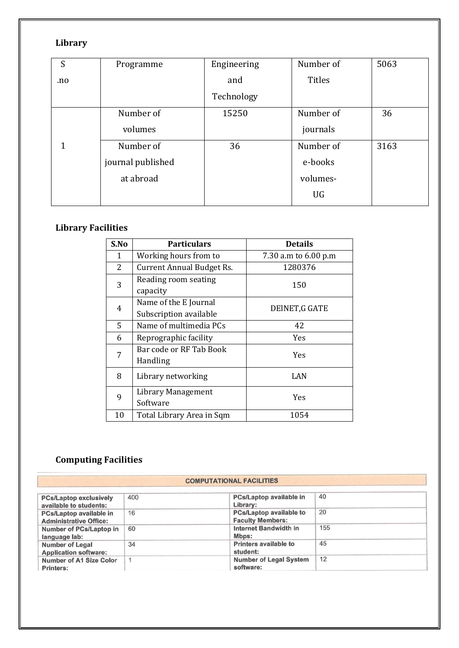# **Library**

| S   | Programme         | Engineering | Number of     | 5063 |
|-----|-------------------|-------------|---------------|------|
| .no |                   | and         | <b>Titles</b> |      |
|     |                   | Technology  |               |      |
|     | Number of         | 15250       | Number of     | 36   |
|     | volumes           |             | journals      |      |
| 1   | Number of         | 36          | Number of     | 3163 |
|     | journal published |             | e-books       |      |
|     | at abroad         |             | volumes-      |      |
|     |                   |             | UG            |      |
|     |                   |             |               |      |

# **Library Facilities**

| S.No                   | <b>Particulars</b>               | <b>Details</b>       |  |
|------------------------|----------------------------------|----------------------|--|
| 1                      | Working hours from to            | 7.30 a.m to 6.00 p.m |  |
| 2                      | <b>Current Annual Budget Rs.</b> | 1280376              |  |
| 3                      | Reading room seating             | 150                  |  |
|                        | capacity                         |                      |  |
| 4                      | Name of the E Journal            | DEINET, G GATE       |  |
| Subscription available |                                  |                      |  |
| 5                      | Name of multimedia PCs           | 42                   |  |
| 6                      | Reprographic facility            | <b>Yes</b>           |  |
| 7                      | Bar code or RF Tab Book          | <b>Yes</b>           |  |
|                        | Handling                         |                      |  |
| 8                      | Library networking               | LAN                  |  |
|                        |                                  |                      |  |
| 9                      | Library Management<br>Software   | Yes                  |  |
|                        |                                  |                      |  |
| 10                     | Total Library Area in Sqm        | 1054                 |  |

# **Computing Facilities**

#### **COMPUTATIONAL FACILITIES**

| <b>PCs/Laptop exclusively</b><br>available to students:  | 400 | PCs/Laptop available in<br>Library:                | 40  |
|----------------------------------------------------------|-----|----------------------------------------------------|-----|
| PCs/Laptop available in<br><b>Administrative Office:</b> | 16  | PCs/Laptop available to<br><b>Faculty Members:</b> | 20  |
| Number of PCs/Laptop in<br>language lab:                 | 60  | Internet Bandwidth in<br>Mbps:                     | 155 |
| Number of Legal<br><b>Application software:</b>          | 34  | Printers available to<br>student:                  | 45  |
| Number of A1 Size Color<br>Printers:                     |     | <b>Number of Legal System</b><br>software:         | 12  |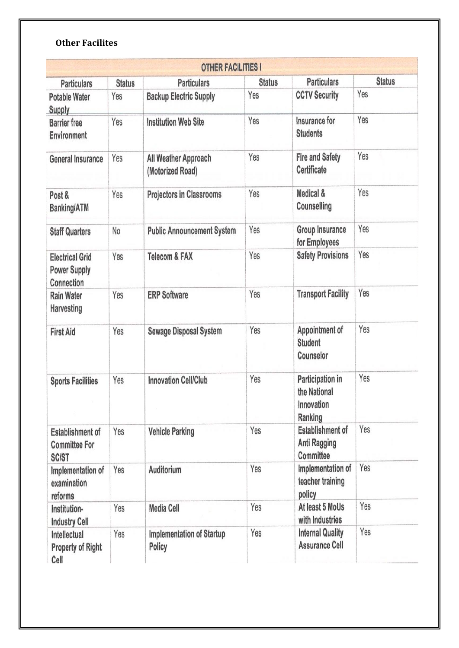# **Other Facilites**

|                                                                 |                      |                                                     | <b>Status</b> | <b>Particulars</b>                                          | <b>Status</b> |
|-----------------------------------------------------------------|----------------------|-----------------------------------------------------|---------------|-------------------------------------------------------------|---------------|
| <b>Particulars</b><br><b>Potable Water</b>                      | <b>Status</b><br>Yes | <b>Particulars</b><br><b>Backup Electric Supply</b> | Yes           | <b>CCTV Security</b>                                        | Yes           |
| <b>Supply</b><br><b>Barrier</b> free<br>Environment             | Yes                  | <b>Institution Web Site</b>                         | Yes           | Insurance for<br><b>Students</b>                            | Yes           |
| <b>General Insurance</b>                                        | Yes                  | All Weather Approach<br>(Motorized Road)            | Yes           | <b>Fire and Safety</b><br>Certificate                       | Yes           |
| Post &<br><b>Banking/ATM</b>                                    | Yes                  | <b>Projectors in Classrooms</b>                     | Yes           | Medical &<br>Counselling                                    | Yes           |
| <b>Staff Quarters</b>                                           | No                   | <b>Public Announcement System</b>                   | Yes           | Group Insurance<br>for Employees                            | Yes           |
| <b>Electrical Grid</b><br><b>Power Supply</b><br>Connection     | Yes                  | <b>Telecom &amp; FAX</b>                            | Yes           | <b>Safety Provisions</b>                                    | Yes           |
| <b>Rain Water</b><br>Harvesting                                 | Yes                  | <b>ERP Software</b>                                 | Yes           | <b>Transport Facility</b>                                   | Yes           |
| <b>First Aid</b>                                                | Yes                  | <b>Sewage Disposal System</b>                       | Yes           | Appointment of<br><b>Student</b><br>Counselor               | Yes           |
| <b>Sports Facilities</b>                                        | Yes                  | <b>Innovation Cell/Club</b>                         | Yes           | Participation in<br>the National<br>Innovation<br>Ranking   | Yes           |
| <b>Establishment of</b><br><b>Committee For</b><br><b>SC/ST</b> | Yes                  | <b>Vehicle Parking</b>                              | Yes           | <b>Establishment of</b><br><b>Anti Ragging</b><br>Committee | Yes           |
| Implementation of<br>examination<br>reforms                     | Yes                  | Auditorium                                          | Yes           | Implementation of<br>teacher training<br>policy             | Yes           |
| Institution-<br><b>Industry Cell</b>                            | Yes                  | <b>Media Cell</b>                                   | Yes           | At least 5 MoUs<br>with Industries                          | Yes           |
| Intellectual<br><b>Property of Right</b><br>Cell                | Yes                  | <b>Implementation of Startup</b><br>Policy          | Yes           | <b>Internal Quality</b><br><b>Assurance Cell</b>            | Yes           |